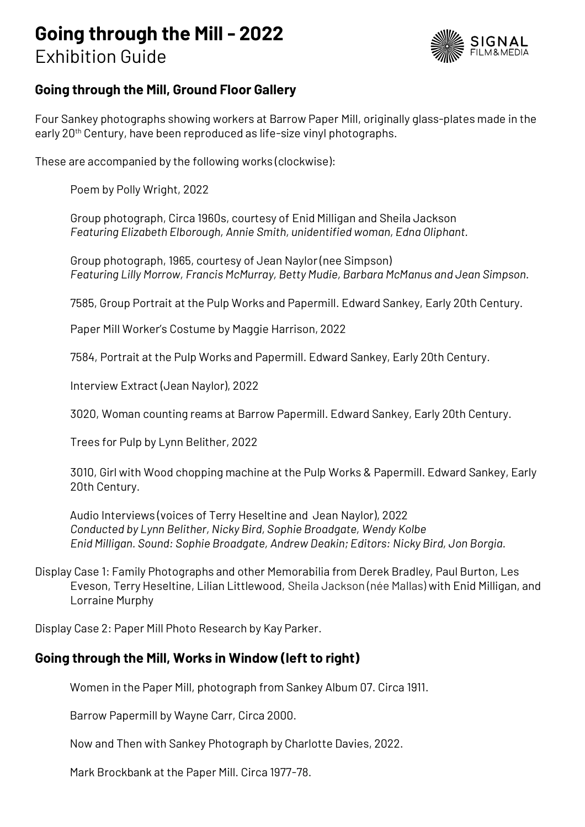# **Going through the Mill - 2022** Exhibition Guide



# **Going through the Mill, Ground Floor Gallery**

Four Sankey photographs showing workers at Barrow Paper Mill, originally glass-plates made in the early 20<sup>th</sup> Century, have been reproduced as life-size vinyl photographs.

These are accompanied by the following works (clockwise):

Poem by Polly Wright, 2022

Group photograph, Circa 1960s, courtesy of Enid Milligan and Sheila Jackson *Featuring Elizabeth Elborough, Annie Smith, unidentified woman, Edna Oliphant.* 

Group photograph, 1965, courtesy of Jean Naylor (nee Simpson) *Featuring Lilly Morrow, Francis McMurray, Betty Mudie, Barbara McManus and Jean Simpson.* 

7585, Group Portrait at the Pulp Works and Papermill. Edward Sankey, Early 20th Century.

Paper Mill Worker's Costume by Maggie Harrison, 2022

7584, Portrait at the Pulp Works and Papermill. Edward Sankey, Early 20th Century.

Interview Extract (Jean Naylor), 2022

3020, Woman counting reams at Barrow Papermill. Edward Sankey, Early 20th Century.

Trees for Pulp by Lynn Belither, 2022

3010, Girl with Wood chopping machine at the Pulp Works & Papermill. Edward Sankey, Early 20th Century.

Audio Interviews (voices of Terry Heseltine and Jean Naylor), 2022 *Conducted by Lynn Belither, Nicky Bird, Sophie Broadgate, Wendy Kolbe Enid Milligan. Sound: Sophie Broadgate, Andrew Deakin; Editors: Nicky Bird, Jon Borgia.* 

Display Case 1: Family Photographs and other Memorabilia from Derek Bradley, Paul Burton, Les Eveson, Terry Heseltine, Lilian Littlewood, Sheila Jackson (née Mallas) with Enid Milligan, and Lorraine Murphy

Display Case 2: Paper Mill Photo Research by Kay Parker.

#### **Going through the Mill, Works in Window (left to right)**

Women in the Paper Mill, photograph from Sankey Album 07. Circa 1911.

Barrow Papermill by Wayne Carr, Circa 2000.

Now and Then with Sankey Photograph by Charlotte Davies, 2022.

Mark Brockbank at the Paper Mill. Circa 1977-78.